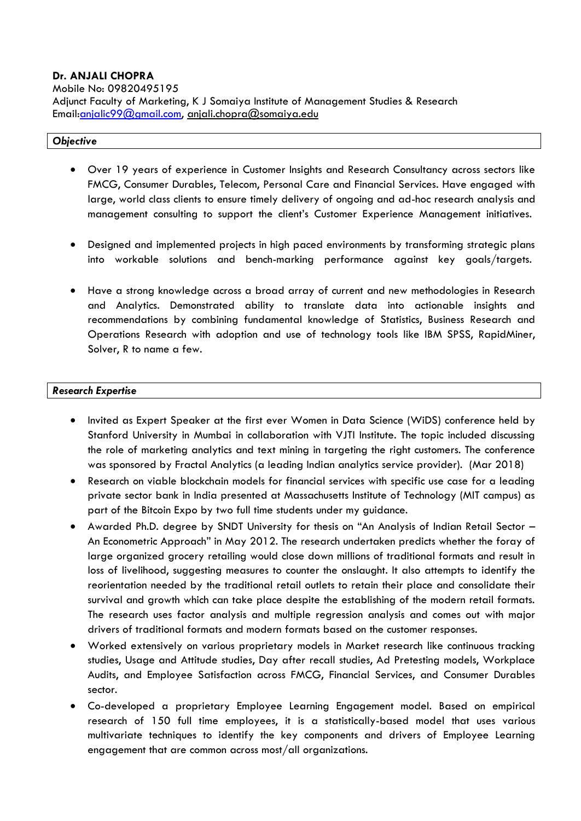### **Dr. ANJALI CHOPRA**

Mobile No: 09820495195

Adjunct Faculty of Marketing, K J Somaiya Institute of Management Studies & Research Email[:anjalic99@gmail.com,](mailto:anjalic99@gmail.com) anjali.chopra@somaiya.edu

#### *Objective*

- Over 19 years of experience in Customer Insights and Research Consultancy across sectors like FMCG, Consumer Durables, Telecom, Personal Care and Financial Services. Have engaged with large, world class clients to ensure timely delivery of ongoing and ad-hoc research analysis and management consulting to support the client's Customer Experience Management initiatives.
- Designed and implemented projects in high paced environments by transforming strategic plans into workable solutions and bench-marking performance against key goals/targets.
- Have a strong knowledge across a broad array of current and new methodologies in Research and Analytics. Demonstrated ability to translate data into actionable insights and recommendations by combining fundamental knowledge of Statistics, Business Research and Operations Research with adoption and use of technology tools like IBM SPSS, RapidMiner, Solver, R to name a few.

### *Research Expertise*

- Invited as Expert Speaker at the first ever Women in Data Science (WiDS) conference held by Stanford University in Mumbai in collaboration with VJTI Institute. The topic included discussing the role of marketing analytics and text mining in targeting the right customers. The conference was sponsored by Fractal Analytics (a leading Indian analytics service provider). (Mar 2018)
- Research on viable blockchain models for financial services with specific use case for a leading private sector bank in India presented at Massachusetts Institute of Technology (MIT campus) as part of the Bitcoin Expo by two full time students under my guidance.
- Awarded Ph.D. degree by SNDT University for thesis on "An Analysis of Indian Retail Sector An Econometric Approach" in May 2012. The research undertaken predicts whether the foray of large organized grocery retailing would close down millions of traditional formats and result in loss of livelihood, suggesting measures to counter the onslaught. It also attempts to identify the reorientation needed by the traditional retail outlets to retain their place and consolidate their survival and growth which can take place despite the establishing of the modern retail formats. The research uses factor analysis and multiple regression analysis and comes out with major drivers of traditional formats and modern formats based on the customer responses.
- Worked extensively on various proprietary models in Market research like continuous tracking studies, Usage and Attitude studies, Day after recall studies, Ad Pretesting models, Workplace Audits, and Employee Satisfaction across FMCG, Financial Services, and Consumer Durables sector.
- Co-developed a proprietary Employee Learning Engagement model. Based on empirical research of 150 full time employees, it is a statistically-based model that uses various multivariate techniques to identify the key components and drivers of Employee Learning engagement that are common across most/all organizations.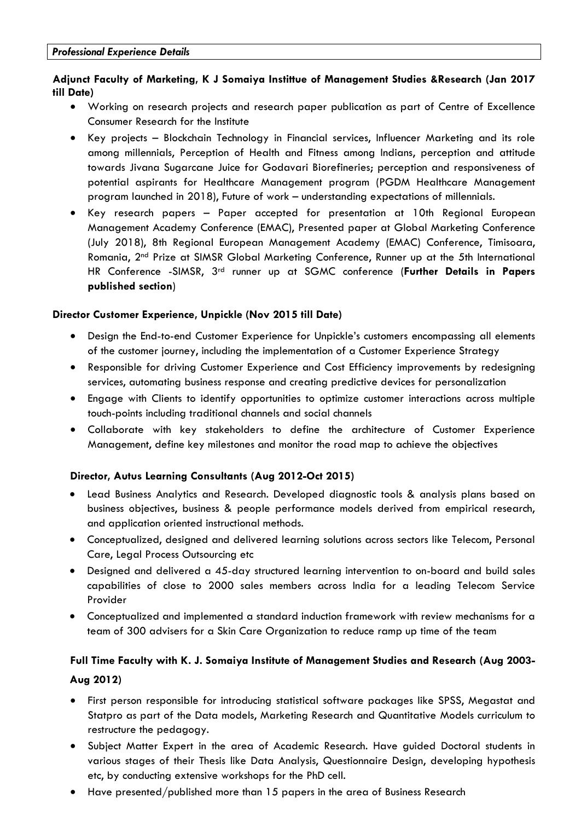# **Adjunct Faculty of Marketing, K J Somaiya Instittue of [Management](https://www.linkedin.com/title/director-customer-experience?trk=mprofile_title) Studies &Research (Jan 2017 till Date)**

- Working on research projects and research paper publication as part of Centre of Excellence Consumer Research for the Institute
- Key projects Blockchain Technology in Financial services, Influencer Marketing and its role among millennials, Perception of Health and Fitness among Indians, perception and attitude towards Jivana Sugarcane Juice for Godavari Biorefineries; perception and responsiveness of potential aspirants for Healthcare Management program (PGDM Healthcare Management program launched in 2018), Future of work – understanding expectations of millennials.
- Key research papers Paper accepted for presentation at 10th Regional European Management Academy Conference (EMAC), Presented paper at Global Marketing Conference (July 2018), 8th Regional European Management Academy (EMAC) Conference, Timisoara, Romania, 2nd Prize at SIMSR Global Marketing Conference, Runner up at the 5th International HR Conference -SIMSR, 3rd runner up at SGMC conference (**Further Details in Papers published section**)

### **Director Customer [Experience,](https://www.linkedin.com/title/director-customer-experience?trk=mprofile_title) [Unpickle](https://www.linkedin.com/company/10467853?trk=prof-exp-company-name) (Nov 2015 till Date)**

- Design the End-to-end Customer Experience for Unpickle's customers encompassing all elements of the customer journey, including the implementation of a Customer Experience Strategy
- Responsible for driving Customer Experience and Cost Efficiency improvements by redesigning services, automating business response and creating predictive devices for personalization
- Engage with Clients to identify opportunities to optimize customer interactions across multiple touch-points including traditional channels and social channels
- Collaborate with key stakeholders to define the architecture of Customer Experience Management, define key milestones and monitor the road map to achieve the objectives

# **Director, Autus Learning Consultants (Aug 2012-Oct 2015)**

- Lead Business Analytics and Research. Developed diagnostic tools & analysis plans based on business objectives, business & people performance models derived from empirical research, and application oriented instructional methods.
- Conceptualized, designed and delivered learning solutions across sectors like Telecom, Personal Care, Legal Process Outsourcing etc
- Designed and delivered a 45-day structured learning intervention to on-board and build sales capabilities of close to 2000 sales members across India for a leading Telecom Service Provider
- Conceptualized and implemented a standard induction framework with review mechanisms for a team of 300 advisers for a Skin Care Organization to reduce ramp up time of the team

# **Full Time Faculty with K. J. Somaiya Institute of Management Studies and Research (Aug 2003- Aug 2012)**

- First person responsible for introducing statistical software packages like SPSS, Megastat and Statpro as part of the Data models, Marketing Research and Quantitative Models curriculum to restructure the pedagogy.
- Subject Matter Expert in the area of Academic Research. Have guided Doctoral students in various stages of their Thesis like Data Analysis, Questionnaire Design, developing hypothesis etc, by conducting extensive workshops for the PhD cell.
- Have presented/published more than 15 papers in the area of Business Research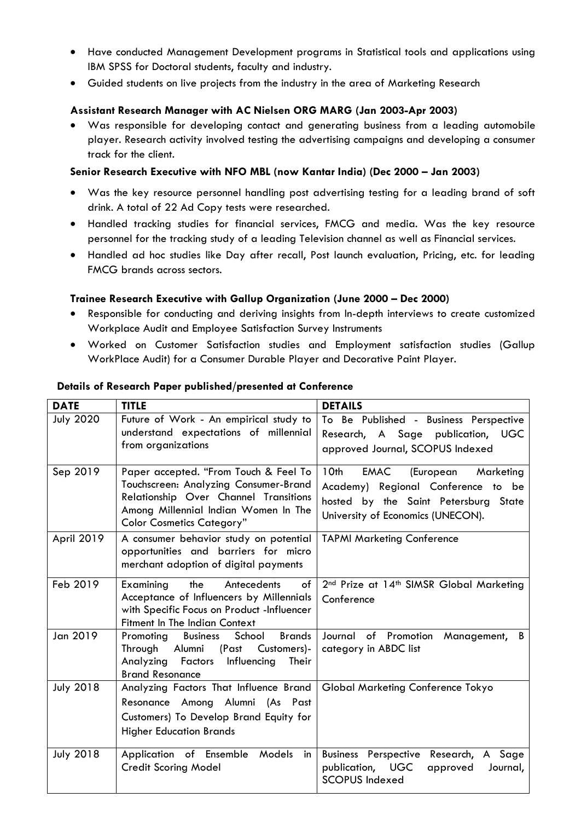- Have conducted Management Development programs in Statistical tools and applications using IBM SPSS for Doctoral students, faculty and industry.
- Guided students on live projects from the industry in the area of Marketing Research

### **Assistant Research Manager with AC Nielsen ORG MARG (Jan 2003-Apr 2003)**

 Was responsible for developing contact and generating business from a leading automobile player. Research activity involved testing the advertising campaigns and developing a consumer track for the client.

### **Senior Research Executive with NFO MBL (now Kantar India) (Dec 2000 – Jan 2003)**

- Was the key resource personnel handling post advertising testing for a leading brand of soft drink. A total of 22 Ad Copy tests were researched.
- Handled tracking studies for financial services, FMCG and media. Was the key resource personnel for the tracking study of a leading Television channel as well as Financial services.
- Handled ad hoc studies like Day after recall, Post launch evaluation, Pricing, etc. for leading FMCG brands across sectors.

### **Trainee Research Executive with Gallup Organization (June 2000 – Dec 2000)**

- Responsible for conducting and deriving insights from In-depth interviews to create customized Workplace Audit and Employee Satisfaction Survey Instruments
- Worked on Customer Satisfaction studies and Employment satisfaction studies (Gallup WorkPlace Audit) for a Consumer Durable Player and Decorative Paint Player.

| <b>DATE</b>      | <b>TITLE</b>                                                                                                                                                                                        | <b>DETAILS</b>                                                                                                                                            |
|------------------|-----------------------------------------------------------------------------------------------------------------------------------------------------------------------------------------------------|-----------------------------------------------------------------------------------------------------------------------------------------------------------|
| <b>July 2020</b> | Future of Work - An empirical study to<br>understand expectations of millennial<br>from organizations                                                                                               | To Be Published - Business Perspective<br>Research, A Sage publication, UGC<br>approved Journal, SCOPUS Indexed                                           |
| Sep 2019         | Paper accepted. "From Touch & Feel To<br>Touchscreen: Analyzing Consumer-Brand<br>Relationship Over Channel Transitions<br>Among Millennial Indian Women In The<br><b>Color Cosmetics Category"</b> | 10th<br>EMAC<br>(European<br>Marketing<br>Academy) Regional Conference to be<br>hosted by the Saint Petersburg State<br>University of Economics (UNECON). |
| April 2019       | A consumer behavior study on potential<br>opportunities and barriers for micro<br>merchant adoption of digital payments                                                                             | <b>TAPMI Marketing Conference</b>                                                                                                                         |
| Feb 2019         | the<br>of<br>Examining<br>Antecedents<br>Acceptance of Influencers by Millennials<br>with Specific Focus on Product -Influencer<br><b>Fitment In The Indian Context</b>                             | 2 <sup>nd</sup> Prize at 14 <sup>th</sup> SIMSR Global Marketing<br>Conference                                                                            |
| Jan 2019         | School<br><b>Brands</b><br>Promoting<br><b>Business</b><br>Through<br>Alumni<br>(Past<br>Customers)-<br>Influencing<br>Their<br>Analyzing<br>Factors<br><b>Brand Resonance</b>                      | of Promotion<br>Journal<br>Management,<br>B<br>category in ABDC list                                                                                      |
| <b>July 2018</b> | Analyzing Factors That Influence Brand<br>Resonance Among Alumni (As Past<br>Customers) To Develop Brand Equity for<br><b>Higher Education Brands</b>                                               | <b>Global Marketing Conference Tokyo</b>                                                                                                                  |
| <b>July 2018</b> | Application of Ensemble Models<br>in<br><b>Credit Scoring Model</b>                                                                                                                                 | <b>Business Perspective</b><br>Research, A Sage<br>publication, UGC<br>approved<br>Journal,<br><b>SCOPUS Indexed</b>                                      |

### **Details of Research Paper published/presented at Conference**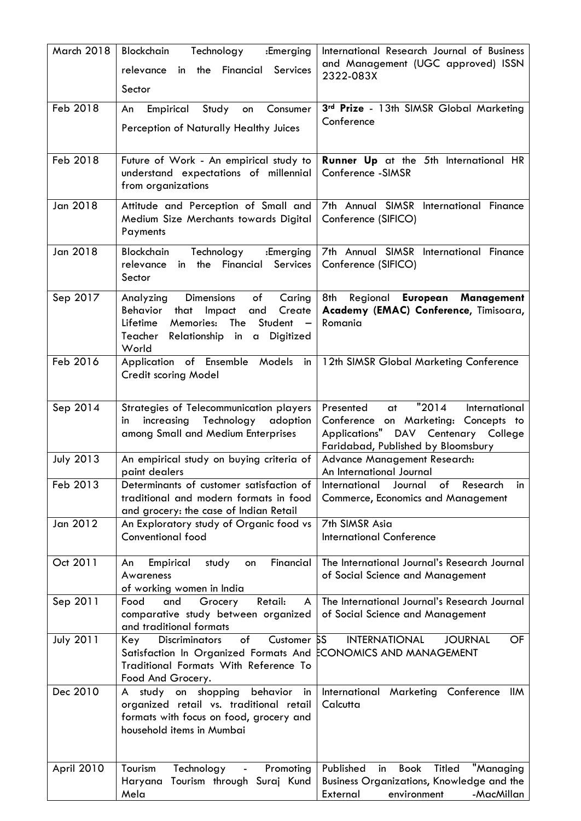| March 2018       | Blockchain<br>Technology<br>:Emerging<br>in the Financial<br>Services<br>relevance<br>Sector                                                                                                                                         | International Research Journal of Business<br>and Management (UGC approved) ISSN<br>2322-083X                                                                   |
|------------------|--------------------------------------------------------------------------------------------------------------------------------------------------------------------------------------------------------------------------------------|-----------------------------------------------------------------------------------------------------------------------------------------------------------------|
| Feb 2018         | Empirical<br>Study<br>An<br>Consumer<br>on<br>Perception of Naturally Healthy Juices                                                                                                                                                 | 3rd Prize - 13th SIMSR Global Marketing<br>Conference                                                                                                           |
| Feb 2018         | Future of Work - An empirical study to<br>understand expectations of millennial<br>from organizations                                                                                                                                | <b>Runner Up</b> at the 5th International HR<br>Conference -SIMSR                                                                                               |
| Jan 2018         | Attitude and Perception of Small and<br>Medium Size Merchants towards Digital<br>Payments                                                                                                                                            | 7th Annual SIMSR International Finance<br>Conference (SIFICO)                                                                                                   |
| Jan 2018         | Blockchain<br>Technology<br>:Emerging<br>the Financial<br>Services<br>relevance<br>in<br>Sector                                                                                                                                      | 7th Annual SIMSR International Finance<br>Conference (SIFICO)                                                                                                   |
| Sep 2017         | <b>Dimensions</b><br>of<br>Analyzing<br>Caring<br>Behavior<br>that<br>Impact<br>Create<br>and<br>Student<br>Lifetime<br>Memories:<br>The<br>$\overline{\phantom{0}}$<br>Teacher<br>Relationship in<br>Digitized<br>$\alpha$<br>World | 8th<br>Regional European<br>Management<br>Academy (EMAC) Conference, Timisoara,<br>Romania                                                                      |
| Feb 2016         | Application of Ensemble Models<br>in<br>Credit scoring Model                                                                                                                                                                         | 12th SIMSR Global Marketing Conference                                                                                                                          |
| Sep 2014         | Strategies of Telecommunication players<br>increasing Technology<br>adoption<br>in<br>among Small and Medium Enterprises                                                                                                             | "2014"<br>Presented<br>International<br>at<br>Conference on Marketing: Concepts to<br>Applications" DAV Centenary College<br>Faridabad, Published by Bloomsbury |
| <b>July 2013</b> | An empirical study on buying criteria of<br>paint dealers                                                                                                                                                                            | Advance Management Research:<br>An International Journal                                                                                                        |
| Feb 2013         | Determinants of customer satisfaction of<br>traditional and modern formats in food<br>and grocery: the case of Indian Retail                                                                                                         | International<br>Journal<br>of<br>Research<br>in.<br><b>Commerce, Economics and Management</b>                                                                  |
| Jan 2012         | An Exploratory study of Organic food vs<br>Conventional food                                                                                                                                                                         | 7th SIMSR Asia<br><b>International Conference</b>                                                                                                               |
| Oct 2011         | Financial<br>Empirical<br>study<br>An<br>on<br>Awareness<br>of working women in India                                                                                                                                                | The International Journal's Research Journal<br>of Social Science and Management                                                                                |
| Sep 2011         | Retail:<br>Food<br>Grocery<br>and<br>A<br>comparative study between organized<br>and traditional formats                                                                                                                             | The International Journal's Research Journal<br>of Social Science and Management                                                                                |
| <b>July 2011</b> | Customer 5S<br>of<br><b>Discriminators</b><br><b>Key</b><br>Satisfaction In Organized Formats And<br>Traditional Formats With Reference To<br>Food And Grocery.                                                                      | <b>INTERNATIONAL</b><br><b>JOURNAL</b><br>OF<br>ECONOMICS AND MANAGEMENT                                                                                        |
| Dec 2010         | A study on shopping<br>behavior<br>in<br>organized retail vs. traditional retail<br>formats with focus on food, grocery and<br>household items in Mumbai                                                                             | International Marketing<br>Conference<br>IIM<br>Calcutta                                                                                                        |
| April 2010       | Tourism<br>Technology<br>Promoting<br>$\blacksquare$<br>Tourism through Suraj Kund<br>Haryana<br>Mela                                                                                                                                | "Managing<br>Published<br>Titled<br><b>Book</b><br>in<br>Business Organizations, Knowledge and the<br>External<br>environment<br>-MacMillan                     |